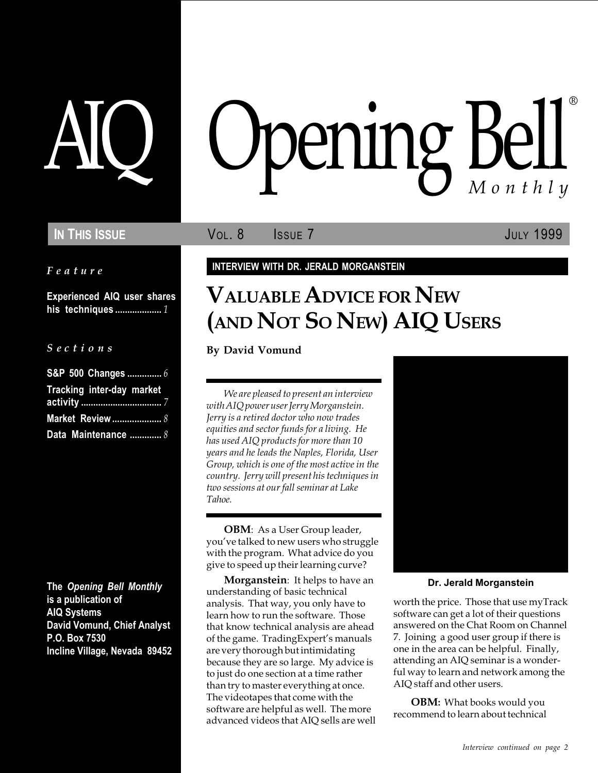Feature

Experienced AIQ user shares his techniques ................... 1

#### S e c t i o n s

| S&P 500 Changes  6        |  |
|---------------------------|--|
| Tracking inter-day market |  |
|                           |  |
| Market Review  8          |  |
| Data Maintenance  8       |  |

The Opening Bell Monthly is a publication of AIQ Systems David Vomund, Chief Analyst P.O. Box 7530 Incline Village, Nevada 89452

# pening Bell ®

IN THIS ISSUE **VOL. 8** ISSUE 7 JULY 1999

### INTERVIEW WITH DR. JERALD MORGANSTEIN

# VALUABLE ADVICE FOR NEW (AND NOT SO NEW) AIQ USERS

By David Vomund

We are pleased to present an interview with AIQ power user Jerry Morganstein. Jerry is a retired doctor who now trades equities and sector funds for a living. He has used AIQ products for more than 10 years and he leads the Naples, Florida, User Group, which is one of the most active in the country. Jerry will present his techniques in two sessions at our fall seminar at Lake Tahoe.

OBM: As a User Group leader, you've talked to new users who struggle with the program. What advice do you give to speed up their learning curve?

Morganstein: It helps to have an understanding of basic technical analysis. That way, you only have to learn how to run the software. Those that know technical analysis are ahead of the game. TradingExpert's manuals are very thorough but intimidating because they are so large. My advice is to just do one section at a time rather than try to master everything at once. The videotapes that come with the software are helpful as well. The more advanced videos that AIQ sells are well



#### Dr. Jerald Morganstein

worth the price. Those that use myTrack software can get a lot of their questions answered on the Chat Room on Channel 7. Joining a good user group if there is one in the area can be helpful. Finally, attending an AIQ seminar is a wonderful way to learn and network among the AIQ staff and other users.

OBM: What books would you recommend to learn about technical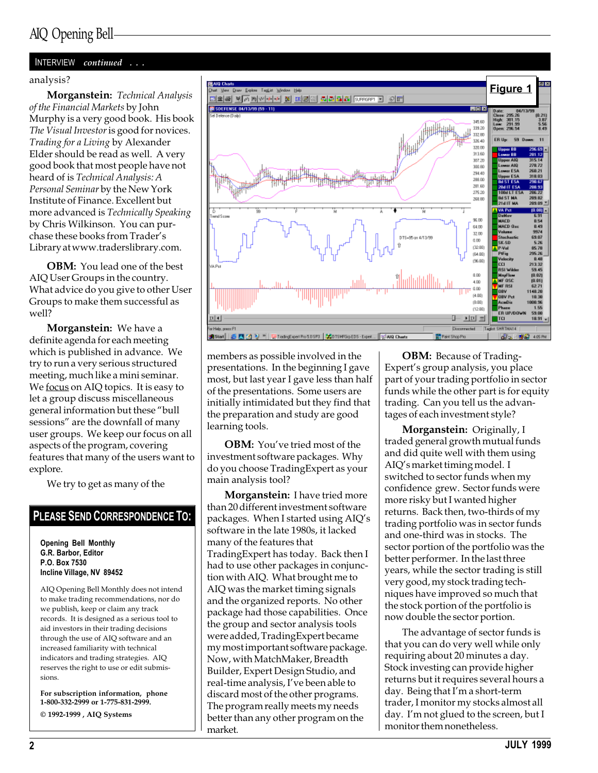#### INTERVIEW continued . . .

Morganstein: Technical Analysis of the Financial Markets by John Murphy is a very good book. His book The Visual Investor is good for novices. Trading for a Living by Alexander Elder should be read as well. A very good book that most people have not heard of is Technical Analysis: A Personal Seminar by the New York Institute of Finance. Excellent but more advanced is Technically Speaking by Chris Wilkinson. You can purchase these books from Trader's Library at www.traderslibrary.com.

**OBM:** You lead one of the best AIQ User Groups in the country. What advice do you give to other User Groups to make them successful as well?

**Morganstein:** We have a definite agenda for each meeting which is published in advance. We try to run a very serious structured meeting, much like a mini seminar. We focus on AIQ topics. It is easy to let a group discuss miscellaneous general information but these "bull sessions" are the downfall of many user groups. We keep our focus on all aspects of the program, covering features that many of the users want to explore.

We try to get as many of the

#### PLEASE SEND CORRESPONDENCE TO:

Opening Bell Monthly G.R. Barbor, Editor P.O. Box 7530 Incline Village, NV 89452

AIQ Opening Bell Monthly does not intend to make trading recommendations, nor do we publish, keep or claim any track records. It is designed as a serious tool to aid investors in their trading decisions through the use of AIQ software and an increased familiarity with technical indicators and trading strategies. AIQ reserves the right to use or edit submissions.

For subscription information, phone 1-800-332-2999 or 1-775-831-2999.

© 1992-1999 , AIQ Systems



members as possible involved in the presentations. In the beginning I gave most, but last year I gave less than half of the presentations. Some users are initially intimidated but they find that the preparation and study are good learning tools.

**OBM:** You've tried most of the investment software packages. Why do you choose TradingExpert as your main analysis tool?

**Morganstein:** I have tried more than 20 different investment software packages. When I started using AIQ's software in the late 1980s, it lacked many of the features that TradingExpert has today. Back then I had to use other packages in conjunction with AIQ. What brought me to AIQ was the market timing signals and the organized reports. No other package had those capabilities. Once the group and sector analysis tools were added, TradingExpert became my most important software package. Now, with MatchMaker, Breadth Builder, Expert Design Studio, and real-time analysis, I've been able to discard most of the other programs. The program really meets my needs better than any other program on the market.

**OBM:** Because of Trading-Expert's group analysis, you place part of your trading portfolio in sector funds while the other part is for equity trading. Can you tell us the advantages of each investment style?

**Morganstein:** Originally, I traded general growth mutual funds and did quite well with them using AIQ's market timing model. I switched to sector funds when my confidence grew. Sector funds were more risky but I wanted higher returns. Back then, two-thirds of my trading portfolio was in sector funds and one-third was in stocks. The sector portion of the portfolio was the better performer. In the last three years, while the sector trading is still very good, my stock trading techniques have improved so much that the stock portion of the portfolio is now double the sector portion.

The advantage of sector funds is that you can do very well while only requiring about 20 minutes a day. Stock investing can provide higher returns but it requires several hours a day. Being that I'm a short-term trader, I monitor my stocks almost all day. I'm not glued to the screen, but I monitor them nonetheless.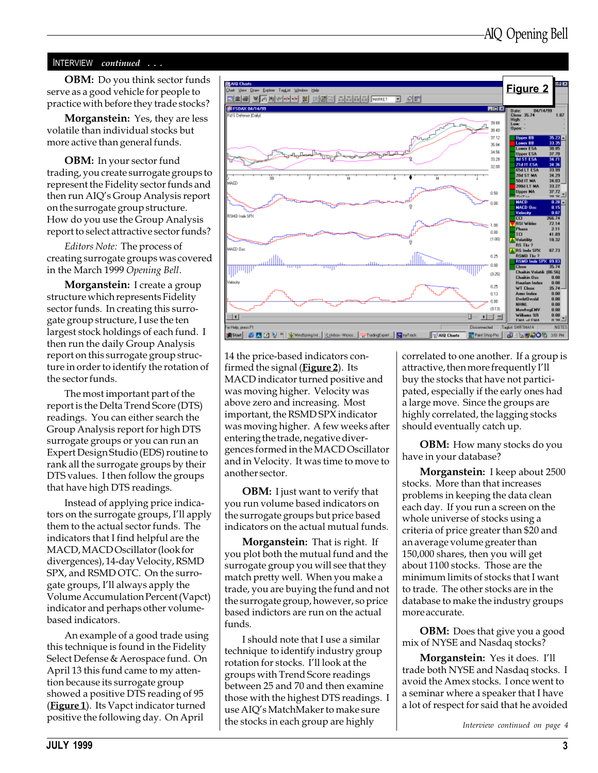#### INTERVIEW continued . . .

OBM: Do you think sector funds serve as a good vehicle for people to practice with before they trade stocks?

**Morganstein:** Yes, they are less volatile than individual stocks but more active than general funds.

OBM: In your sector fund trading, you create surrogate groups to represent the Fidelity sector funds and then run AIQ's Group Analysis report on the surrogate group structure. How do you use the Group Analysis report to select attractive sector funds?

Editors Note: The process of creating surrogate groups was covered in the March 1999 Opening Bell.

Morganstein: I create a group structure which represents Fidelity sector funds. In creating this surrogate group structure, I use the ten largest stock holdings of each fund. I then run the daily Group Analysis report on this surrogate group structure in order to identify the rotation of the sector funds.

The most important part of the report is the Delta Trend Score (DTS) readings. You can either search the Group Analysis report for high DTS surrogate groups or you can run an Expert Design Studio (EDS) routine to rank all the surrogate groups by their DTS values. I then follow the groups that have high DTS readings.

Instead of applying price indicators on the surrogate groups, I'll apply them to the actual sector funds. The indicators that I find helpful are the MACD, MACD Oscillator (look for divergences), 14-day Velocity, RSMD SPX, and RSMD OTC. On the surrogate groups, I'll always apply the Volume Accumulation Percent (Vapct) indicator and perhaps other volumebased indicators.

An example of a good trade using this technique is found in the Fidelity Select Defense & Aerospace fund. On April 13 this fund came to my attention because its surrogate group showed a positive DTS reading of 95 (**Figure 1**). Its Vapct indicator turned positive the following day. On April



14 the price-based indicators confirmed the signal (**Figure 2**). Its MACD indicator turned positive and was moving higher. Velocity was above zero and increasing. Most important, the RSMD SPX indicator was moving higher. A few weeks after entering the trade, negative divergences formed in the MACD Oscillator and in Velocity. It was time to move to another sector.

**OBM:** I just want to verify that you run volume based indicators on the surrogate groups but price based indicators on the actual mutual funds.

Morganstein: That is right. If you plot both the mutual fund and the surrogate group you will see that they match pretty well. When you make a trade, you are buying the fund and not the surrogate group, however, so price based indictors are run on the actual funds.

I should note that I use a similar technique to identify industry group rotation for stocks. I'll look at the groups with Trend Score readings between 25 and 70 and then examine those with the highest DTS readings. I use AIQ's MatchMaker to make sure the stocks in each group are highly

correlated to one another. If a group is attractive, then more frequently I'll buy the stocks that have not participated, especially if the early ones had a large move. Since the groups are highly correlated, the lagging stocks should eventually catch up.

**OBM:** How many stocks do you have in your database?

Morganstein: I keep about 2500 stocks. More than that increases problems in keeping the data clean each day. If you run a screen on the whole universe of stocks using a criteria of price greater than \$20 and an average volume greater than 150,000 shares, then you will get about 1100 stocks. Those are the minimum limits of stocks that I want to trade. The other stocks are in the database to make the industry groups more accurate.

**OBM:** Does that give you a good mix of NYSE and Nasdaq stocks?

**Morganstein:** Yes it does. I'll trade both NYSE and Nasdaq stocks. I avoid the Amex stocks. I once went to a seminar where a speaker that I have a lot of respect for said that he avoided

Interview continued on page 4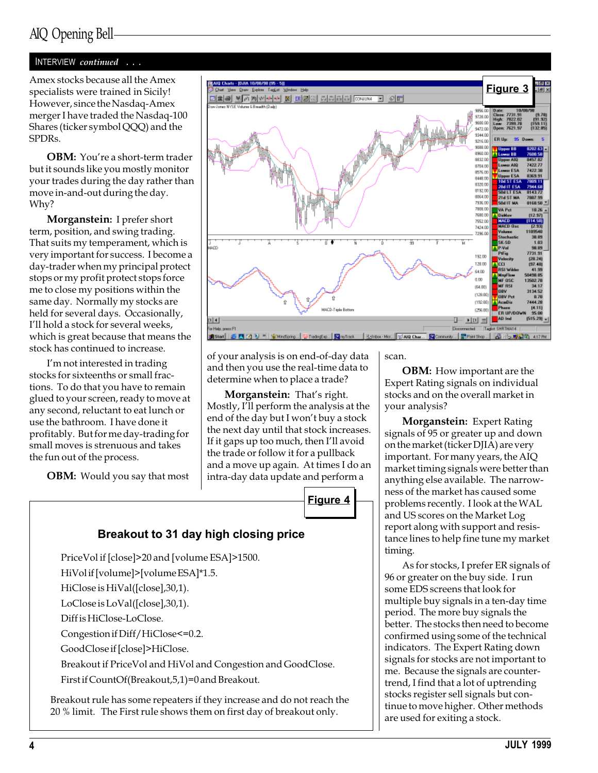#### INTERVIEW continued . . .

Amex stocks because all the Amex specialists were trained in Sicily! However, since the Nasdaq-Amex merger I have traded the Nasdaq-100 Shares (ticker symbol QQQ) and the SPDRs.

**OBM:** You're a short-term trader but it sounds like you mostly monitor your trades during the day rather than move in-and-out during the day. Why?

Morganstein: I prefer short term, position, and swing trading. That suits my temperament, which is very important for success. I become a day-trader when my principal protect stops or my profit protect stops force me to close my positions within the same day. Normally my stocks are held for several days. Occasionally, I'll hold a stock for several weeks, which is great because that means the stock has continued to increase.

I'm not interested in trading stocks for sixteenths or small fractions. To do that you have to remain glued to your screen, ready to move at any second, reluctant to eat lunch or use the bathroom. I have done it profitably. But for me day-trading for small moves is strenuous and takes the fun out of the process.

**OBM:** Would you say that most



of your analysis is on end-of-day data and then you use the real-time data to determine when to place a trade?

Morganstein: That's right. Mostly, I'll perform the analysis at the end of the day but I won't buy a stock the next day until that stock increases. If it gaps up too much, then I'll avoid the trade or follow it for a pullback and a move up again. At times I do an intra-day data update and perform a



## Breakout to 31 day high closing price

PriceVol if [close]>20 and [volume ESA]>1500.

HiVol if [volume]>[volume ESA]\*1.5.

HiClose is HiVal([close],30,1).

LoClose is LoVal([close],30,1).

Diff is HiClose-LoClose.

Congestion if Diff/HiClose<=0.2.

GoodClose if [close]>HiClose.

Breakout if PriceVol and HiVol and Congestion and GoodClose.

First if CountOf(Breakout,5,1)=0 and Breakout.

Breakout rule has some repeaters if they increase and do not reach the 20 % limit. The First rule shows them on first day of breakout only.

scan.

**OBM:** How important are the Expert Rating signals on individual stocks and on the overall market in your analysis?

Morganstein: Expert Rating signals of 95 or greater up and down on the market (ticker DJIA) are very important. For many years, the AIQ market timing signals were better than anything else available. The narrowness of the market has caused some problems recently. I look at the WAL and US scores on the Market Log report along with support and resistance lines to help fine tune my market timing.

As for stocks, I prefer ER signals of 96 or greater on the buy side. I run some EDS screens that look for multiple buy signals in a ten-day time period. The more buy signals the better. The stocks then need to become confirmed using some of the technical indicators. The Expert Rating down signals for stocks are not important to me. Because the signals are countertrend, I find that a lot of uptrending stocks register sell signals but continue to move higher. Other methods are used for exiting a stock.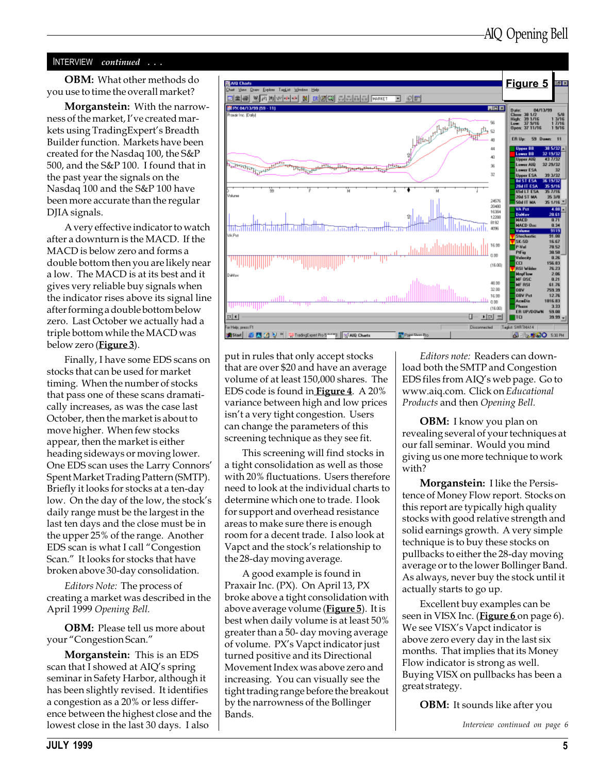#### INTERVIEW continued ...

OBM: What other methods do you use to time the overall market?

**Morganstein:** With the narrowness of the market, I've created markets using Trading Expert's Breadth Builder function. Markets have been created for the Nasdaq 100, the S&P 500, and the S&P 100. I found that in the past year the signals on the Nasdaq 100 and the S&P 100 have been more accurate than the regular DJIA signals.

A very effective indicator to watch after a downturn is the MACD. If the MACD is below zero and forms a double bottom then you are likely near a low. The MACD is at its best and it gives very reliable buy signals when the indicator rises above its signal line after forming a double bottom below zero. Last October we actually had a triple bottom while the MACD was below zero (**Figure 3**).

Finally, I have some EDS scans on stocks that can be used for market timing. When the number of stocks that pass one of these scans dramatically increases, as was the case last October, then the market is about to move higher. When few stocks appear, then the market is either heading sideways or moving lower. One EDS scan uses the Larry Connors Spent Market Trading Pattern (SMTP). Briefly it looks for stocks at a ten-day low. On the day of the low, the stock's daily range must be the largest in the last ten days and the close must be in the upper 25% of the range. Another EDS scan is what I call "Congestion Scan." It looks for stocks that have broken above 30-day consolidation.

Editors Note: The process of creating a market was described in the April 1999 Opening Bell.

**OBM:** Please tell us more about your "Congestion Scan."

Morganstein: This is an EDS scan that I showed at AIO's spring seminar in Safety Harbor, although it has been slightly revised. It identifies a congestion as a 20% or less difference between the highest close and the lowest close in the last 30 days. I also



put in rules that only accept stocks that are over \$20 and have an average volume of at least 150,000 shares. The EDS code is found in **Figure 4**. A 20% variance between high and low prices isn't a very tight congestion. Users can change the parameters of this screening technique as they see fit.

This screening will find stocks in a tight consolidation as well as those with 20% fluctuations. Users therefore need to look at the individual charts to determine which one to trade. I look for support and overhead resistance areas to make sure there is enough room for a decent trade. I also look at Vapct and the stock's relationship to the 28-day moving average.

A good example is found in Praxair Inc. (PX). On April 13, PX broke above a tight consolidation with above average volume (Figure 5). It is best when daily volume is at least 50% greater than a 50- day moving average of volume. PX's Vapct indicator just turned positive and its Directional Movement Index was above zero and increasing. You can visually see the tight trading range before the breakout by the narrowness of the Bollinger Bands.

Editors note: Readers can download both the SMTP and Congestion EDS files from AIQ's web page. Go to www.aiq.com. Click on Educational Products and then Opening Bell.

**OBM:** I know you plan on revealing several of your techniques at our fall seminar. Would you mind giving us one more technique to work with?

Morganstein: I like the Persistence of Money Flow report. Stocks on this report are typically high quality stocks with good relative strength and solid earnings growth. A very simple technique is to buy these stocks on pullbacks to either the 28-day moving average or to the lower Bollinger Band. As always, never buy the stock until it actually starts to go up.

Excellent buy examples can be seen in VISX Inc. (Figure 6 on page 6). We see VISX's Vapct indicator is above zero every day in the last six months. That implies that its Money Flow indicator is strong as well. Buying VISX on pullbacks has been a great strategy.

**OBM:** It sounds like after you

Interview continued on page 6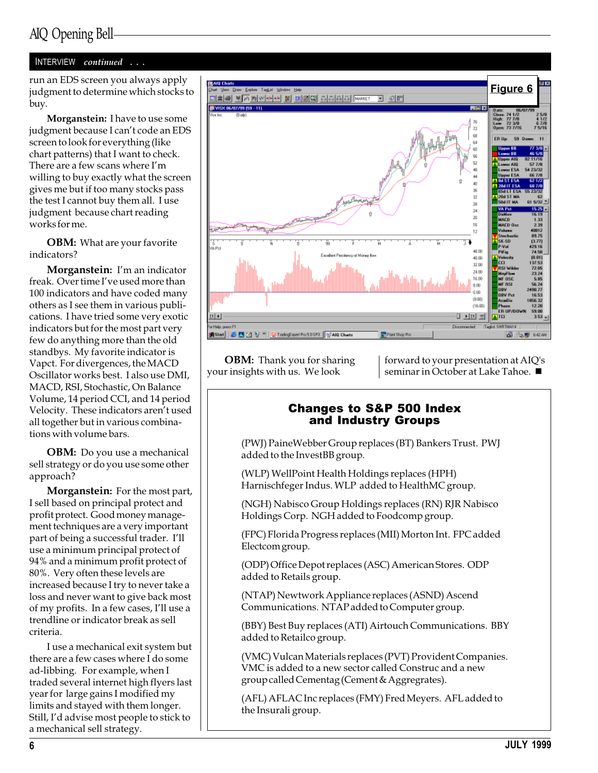#### INTERVIEW continued . . .

judgment to determine which stocks to buy.

Morganstein: I have to use some judgment because I can't code an EDS screen to look for everything (like chart patterns) that I want to check. There are a few scans where I'm willing to buy exactly what the screen gives me but if too many stocks pass the test I cannot buy them all. I use judgment because chart reading works for me.

OBM: What are your favorite indicators?

Morganstein: I'm an indicator freak. Over time I've used more than 100 indicators and have coded many others as I see them in various publications. I have tried some very exotic indicators but for the most part very few do anything more than the old standbys. My favorite indicator is Vapct. For divergences, the MACD Oscillator works best. I also use DMI, MACD, RSI, Stochastic, On Balance Volume, 14 period CCI, and 14 period Velocity. These indicators aren't used all together but in various combinations with volume bars.

**OBM:** Do you use a mechanical sell strategy or do you use some other approach?

Morganstein: For the most part, I sell based on principal protect and profit protect. Good money management techniques are a very important part of being a successful trader. I'll use a minimum principal protect of 94% and a minimum profit protect of 80%. Very often these levels are increased because I try to never take a loss and never want to give back most of my profits. In a few cases, I'll use a trendline or indicator break as sell criteria.

I use a mechanical exit system but there are a few cases where I do some ad-libbing. For example, when I traded several internet high flyers last year for large gains I modified my limits and stayed with them longer. Still, I'd advise most people to stick to a mechanical sell strategy.



**OBM:** Thank you for sharing your insights with us. We look

forward to your presentation at AIQ's seminar in October at Lake Tahoe.

### Changes to S&P 500 Index and Industry Groups

(PWJ) PaineWebber Group replaces (BT) Bankers Trust. PWJ added to the InvestBB group.

(WLP) WellPoint Health Holdings replaces (HPH) Harnischfeger Indus. WLP added to HealthMC group.

(NGH) Nabisco Group Holdings replaces (RN) RJR Nabisco Holdings Corp. NGH added to Foodcomp group.

(FPC) Florida Progress replaces (MII) Morton Int. FPC added Electcom group.

(ODP) Office Depot replaces (ASC) American Stores. ODP added to Retails group.

(NTAP) Newtwork Appliance replaces (ASND) Ascend Communications. NTAP added to Computer group.

(BBY) Best Buy replaces (ATI) Airtouch Communications. BBY added to Retailco group.

(VMC) Vulcan Materials replaces (PVT) Provident Companies. VMC is added to a new sector called Construc and a new group called Cementag (Cement & Aggregrates).

(AFL) AFLAC Inc replaces (FMY) Fred Meyers. AFL added to the Insurali group.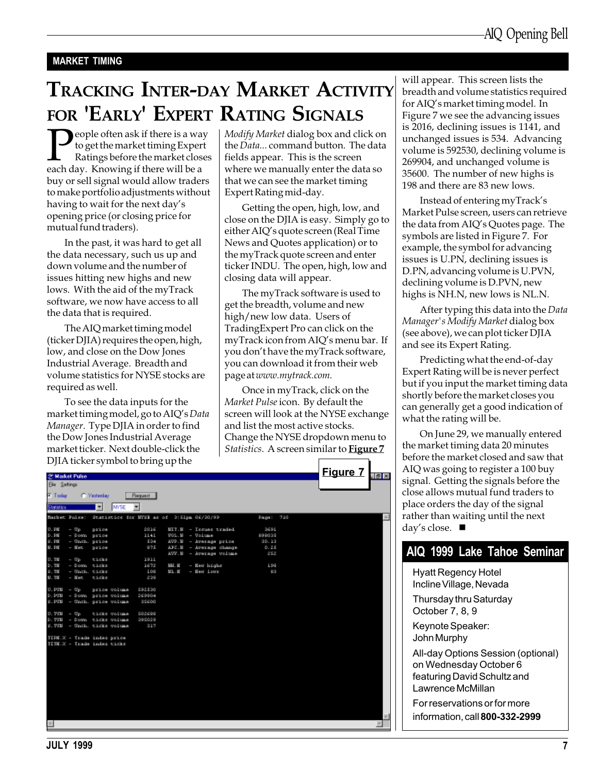#### MARKET TIMING

# TRACKING INTER-DAY MARKET ACTIVITY FOR 'EARLY' EXPERT RATING SIGNALS

**P**eople often ask if there is a way<br>to get the market timing Expert<br>Ratings before the market close<br>each day. Knowing if there will be a to get the market timing Expert Ratings before the market closes buy or sell signal would allow traders to make portfolio adjustments without having to wait for the next day's opening price (or closing price for mutual fund traders).

In the past, it was hard to get all the data necessary, such us up and down volume and the number of issues hitting new highs and new lows. With the aid of the myTrack software, we now have access to all the data that is required.

The AIQ market timing model (ticker DJIA) requires the open, high, low, and close on the Dow Jones Industrial Average. Breadth and volume statistics for NYSE stocks are required as well.

To see the data inputs for the market timing model, go to AIQ's Data Manager. Type DJIA in order to find the Dow Jones Industrial Average market ticker. Next double-click the  $DIIA$  ticker symbol to bring up the

Modify Market dialog box and click on the Data... command button. The data fields appear. This is the screen where we manually enter the data so that we can see the market timing Expert Rating mid-day.

Getting the open, high, low, and close on the DJIA is easy. Simply go to either AIQ's quote screen (Real Time News and Quotes application) or to the myTrack quote screen and enter ticker INDU. The open, high, low and closing data will appear.

The myTrack software is used to get the breadth, volume and new high/new low data. Users of TradingExpert Pro can click on the myTrack icon from AIQ's menu bar. If you don't have the myTrack software, you can download it from their web page at www.mytrack.com.

Once in myTrack, click on the Market Pulse icon. By default the screen will look at the NYSE exchange and list the most active stocks. Change the NYSE dropdown menu to Statistics. A screen similar to **Figure 7** 

|                                                          |                          |              | DJIA tickéh symbol to bring up the |             |            |                                                          |               |                 |                     |
|----------------------------------------------------------|--------------------------|--------------|------------------------------------|-------------|------------|----------------------------------------------------------|---------------|-----------------|---------------------|
| 25 Market Pulse                                          |                          |              |                                    |             |            |                                                          |               | <b>Figure 7</b> | $\sqrt{2}$          |
| <b>Ele Setings</b>                                       |                          |              |                                    |             |            |                                                          |               |                 |                     |
| <b>F</b> Today                                           |                          | C. Yesterday |                                    | Request     |            |                                                          |               |                 |                     |
|                                                          |                          |              |                                    |             |            |                                                          |               |                 |                     |
| Statistics                                               |                          | ٠            | <b>MYSE</b>                        | ٠           |            |                                                          |               |                 |                     |
|                                                          |                          |              |                                    |             |            | Market Pulse: Statistics for MYSE as of S: Sipm 06/20/99 | 710<br>Рация: |                 |                     |
| U.PW                                                     | - Up.                    | price        |                                    | 2016        |            | $E[T, E]$ - Incuse traded                                | 2691          |                 |                     |
| D. PN                                                    | - Dosn price             |              |                                    | 1141        |            | $V0L.H. - Volume$                                        | 898025        |                 |                     |
| $SI$ . $PW$                                              | - Unch. price            |              |                                    | 524         |            | AUD.B - Average price                                    | 90.19         |                 |                     |
| 31. PK                                                   | $-$ Kec                  | price        |                                    | 975         |            | APC.E - Average change                                   | 0.25          |                 |                     |
|                                                          |                          |              |                                    |             |            | AUV.E - Average volume                                   | 252           |                 |                     |
| $U.$ TH                                                  | $-$ Up                   | ticks        |                                    | 1911        |            |                                                          |               |                 |                     |
| $D$ . TH                                                 | - Down ticks             |              |                                    | 1672        | $334 - 10$ | - Ker highs                                              | 1.99          |                 |                     |
| 51.70<br>31.790                                          | - Unch. ticks<br>$-$ Hec | ticks        |                                    | 1.09<br>239 | 321.16     | - Keu Loux                                               | <b>Grab</b>   |                 |                     |
|                                                          |                          |              |                                    |             |            |                                                          |               |                 |                     |
| $U.$ $PUI = Up$                                          |                          |              | price volume                       | \$92.530    |            |                                                          |               |                 |                     |
|                                                          |                          |              | D. PUN - Down price volume         | 269904      |            |                                                          |               |                 |                     |
|                                                          |                          |              | S.PUN - Unch. price volume         | 35600       |            |                                                          |               |                 |                     |
| $U. TUI - Up$                                            |                          |              | ticks volume                       | \$02689     |            |                                                          |               |                 |                     |
|                                                          |                          |              | D.TVN - Down ticks volume          | 295029      |            |                                                          |               |                 |                     |
|                                                          |                          |              | S.TVN - Unch. ticks volume         | 917         |            |                                                          |               |                 |                     |
|                                                          |                          |              |                                    |             |            |                                                          |               |                 |                     |
| TIPM.X - Trade index price<br>TITM.X - Trade index ticks |                          |              |                                    |             |            |                                                          |               |                 |                     |
|                                                          |                          |              |                                    |             |            |                                                          |               |                 |                     |
|                                                          |                          |              |                                    |             |            |                                                          |               |                 |                     |
|                                                          |                          |              |                                    |             |            |                                                          |               |                 |                     |
|                                                          |                          |              |                                    |             |            |                                                          |               |                 |                     |
|                                                          |                          |              |                                    |             |            |                                                          |               |                 |                     |
|                                                          |                          |              |                                    |             |            |                                                          |               |                 |                     |
|                                                          |                          |              |                                    |             |            |                                                          |               |                 |                     |
|                                                          |                          |              |                                    |             |            |                                                          |               |                 |                     |
|                                                          |                          |              |                                    |             |            |                                                          |               |                 |                     |
|                                                          |                          |              |                                    |             |            |                                                          |               |                 |                     |
|                                                          |                          |              |                                    |             |            |                                                          |               |                 | $\overline{\infty}$ |
|                                                          |                          |              |                                    |             |            |                                                          |               |                 | P.                  |

will appear. This screen lists the breadth and volume statistics required for AIQ's market timing model. In Figure 7 we see the advancing issues is 2016, declining issues is 1141, and unchanged issues is 534. Advancing volume is 592530, declining volume is 269904, and unchanged volume is 35600. The number of new highs is 198 and there are 83 new lows.

Instead of entering myTrack's Market Pulse screen, users can retrieve the data from AIQ's Quotes page. The symbols are listed in Figure 7. For example, the symbol for advancing issues is U.PN, declining issues is D.PN, advancing volume is U.PVN, declining volume is D.PVN, new highs is NH.N, new lows is NL.N.

After typing this data into the Data Manager's Modify Market dialog box (see above), we can plot ticker DJIA and see its Expert Rating.

Predicting what the end-of-day Expert Rating will be is never perfect but if you input the market timing data shortly before the market closes you can generally get a good indication of what the rating will be.

On June 29, we manually entered the market timing data 20 minutes before the market closed and saw that AIQ was going to register a 100 buy signal. Getting the signals before the close allows mutual fund traders to place orders the day of the signal rather than waiting until the next day's close.  $\blacksquare$ 

## AIQ 1999 Lake Tahoe Seminar

Hyatt Regency Hotel Incline Village, Nevada Thursday thru Saturday October 7, 8, 9

Keynote Speaker: John Murphy

All-day Options Session (optional) on Wednesday October 6 featuring David Schultz and Lawrence McMillan

For reservations or for more information, call 800-332-2999